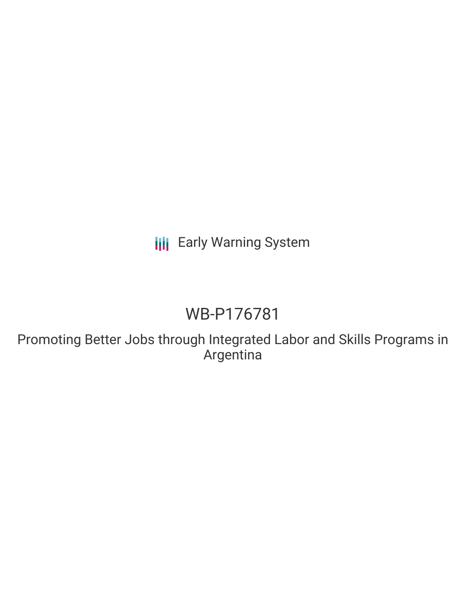**III** Early Warning System

# WB-P176781

Promoting Better Jobs through Integrated Labor and Skills Programs in Argentina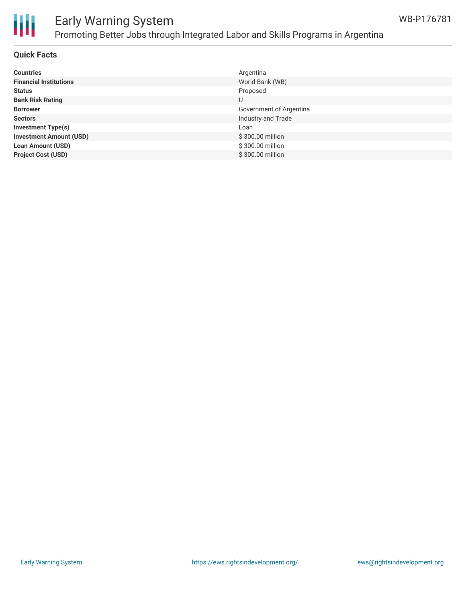

# Early Warning System Promoting Better Jobs through Integrated Labor and Skills Programs in Argentina

## **Quick Facts**

| <b>Countries</b>               | Argentina               |
|--------------------------------|-------------------------|
| <b>Financial Institutions</b>  | World Bank (WB)         |
| <b>Status</b>                  | Proposed                |
| <b>Bank Risk Rating</b>        | U                       |
| <b>Borrower</b>                | Government of Argentina |
| <b>Sectors</b>                 | Industry and Trade      |
| <b>Investment Type(s)</b>      | Loan                    |
| <b>Investment Amount (USD)</b> | \$300.00 million        |
| <b>Loan Amount (USD)</b>       | \$300.00 million        |
| <b>Project Cost (USD)</b>      | \$300.00 million        |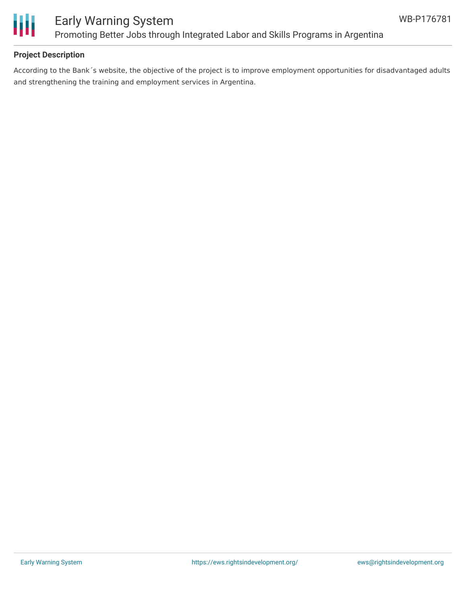

# **Project Description**

According to the Bank´s website, the objective of the project is to improve employment opportunities for disadvantaged adults and strengthening the training and employment services in Argentina.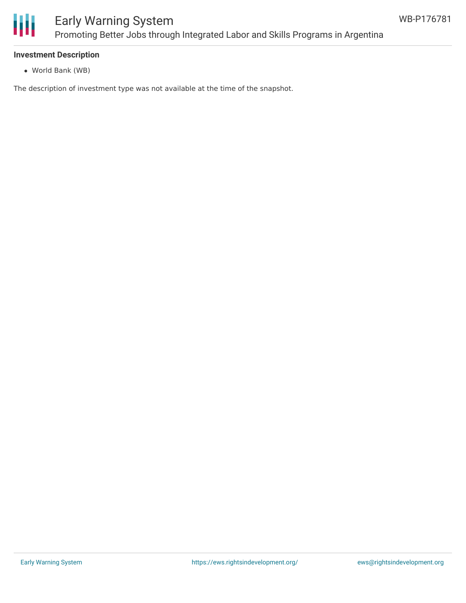

#### **Investment Description**

World Bank (WB)

The description of investment type was not available at the time of the snapshot.